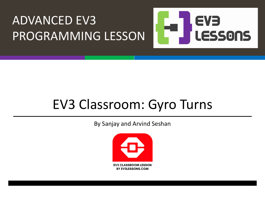

#### EV3 Classroom: Gyro Turns

By Sanjay and Arvind Seshan

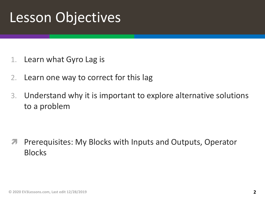#### Lesson Objectives

- 1. Learn what Gyro Lag is
- 2. Learn one way to correct for this lag
- 3. Understand why it is important to explore alternative solutions to a problem

*A* Prerequisites: My Blocks with Inputs and Outputs, Operator Blocks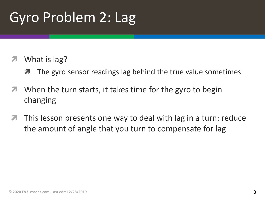# Gyro Problem 2: Lag

#### What is lag?

- **7** The gyro sensor readings lag behind the true value sometimes
- $\blacktriangleright$  When the turn starts, it takes time for the gyro to begin changing
- $\blacktriangledown$  This lesson presents one way to deal with lag in a turn: reduce the amount of angle that you turn to compensate for lag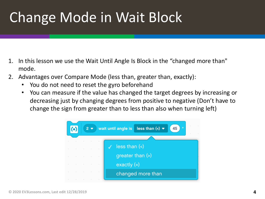## Change Mode in Wait Block

- 1. In this lesson we use the Wait Until Angle Is Block in the "changed more than" mode.
- 2. Advantages over Compare Mode (less than, greater than, exactly):
	- You do not need to reset the gyro beforehand
	- You can measure if the value has changed the target degrees by increasing or decreasing just by changing degrees from positive to negative (Don't have to change the sign from greater than to less than also when turning left)

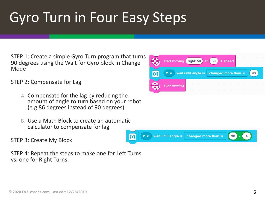# Gyro Turn in Four Easy Steps

STEP 1: Create a simple Gyro Turn program that turns 90 degrees using the Wait for Gyro block in Change Mode

STEP 2: Compensate for Lag

- A. Compensate for the lag by reducing the amount of angle to turn based on your robot (e.g 86 degrees instead of 90 degrees)
- B. Use a Math Block to create an automatic calculator to compensate for lag

STEP 3: Create My Block

STEP 4: Repeat the steps to make one for Left Turns vs. one for Right Turns.



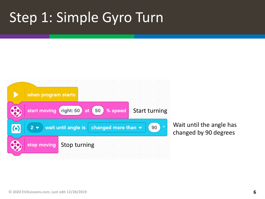#### Step 1: Simple Gyro Turn



Wait until the angle has changed by 90 degrees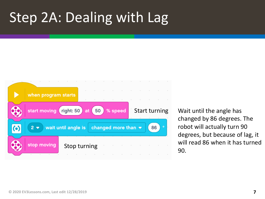### Step 2A: Dealing with Lag



Start turning Wait until the angle has changed by 86 degrees. The robot will actually turn 90 degrees, but because of lag, it will read 86 when it has turned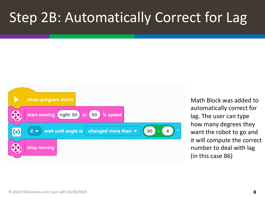#### Step 2B: Automatically Correct for Lag



Math Block was added to automatically correct for lag. The user can type how many degrees they want the robot to go and it will compute the correct number to deal with lag (in this case 86)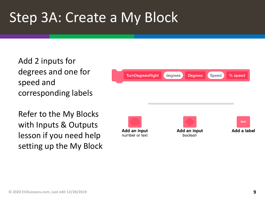#### Step 3A: Create a My Block

Add 2 inputs for degrees and one for speed and corresponding labels

Refer to the My Blocks with Inputs & Outputs lesson if you need help setting up the My Block



Add an input boolean

Add an input

number or text

text Add a label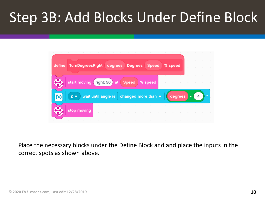### Step 3B: Add Blocks Under Define Block



Place the necessary blocks under the Define Block and and place the inputs in the correct spots as shown above.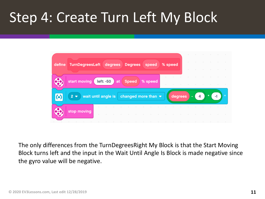#### Step 4: Create Turn Left My Block



The only differences from the TurnDegreesRight My Block is that the Start Moving Block turns left and the input in the Wait Until Angle Is Block is made negative since the gyro value will be negative.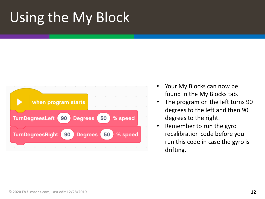# Using the My Block



- Your My Blocks can now be found in the My Blocks tab.
- The program on the left turns 90 degrees to the left and then 90 degrees to the right.
- Remember to run the gyro recalibration code before you run this code in case the gyro is drifting.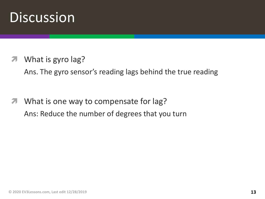#### **Discussion**

What is gyro lag?

Ans. The gyro sensor's reading lags behind the true reading

**7** What is one way to compensate for lag? Ans: Reduce the number of degrees that you turn